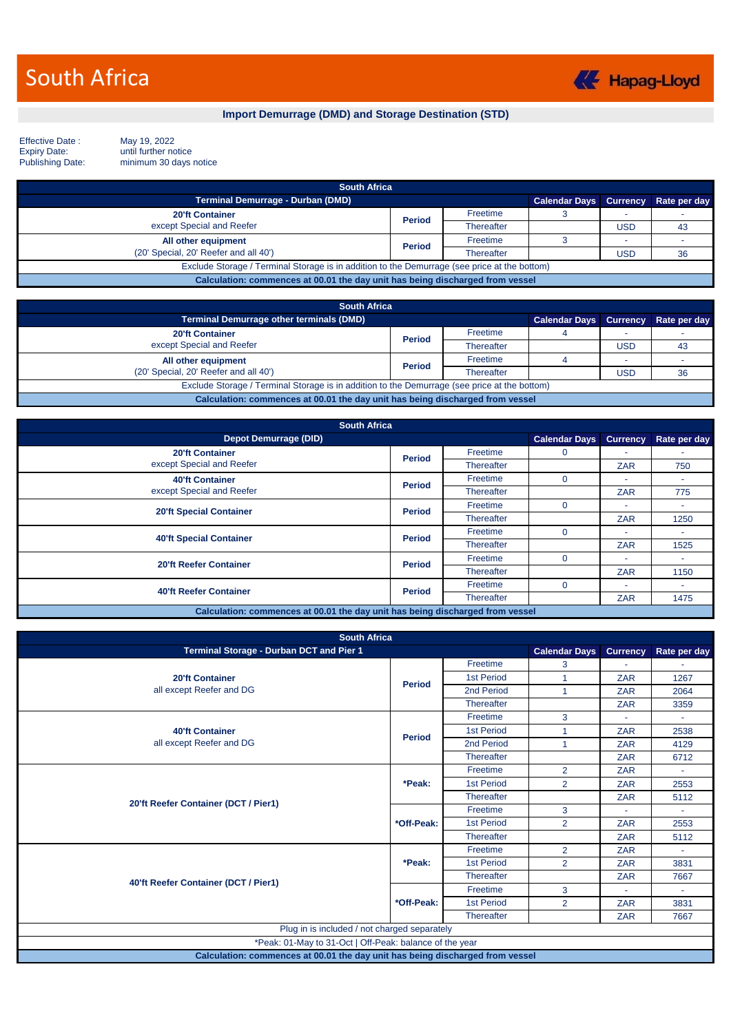

**Import Demurrage (DMD) and Storage Destination (STD)**

Effective Date :<br>Expiry Date:<br>Publishing Date:

May 19, 2022<br>until further notice minimum 30 days notice

| <b>South Africa</b>                                                                          |               |            |                                     |     |    |  |
|----------------------------------------------------------------------------------------------|---------------|------------|-------------------------------------|-----|----|--|
| <b>Terminal Demurrage - Durban (DMD)</b>                                                     |               |            | Calendar Days Currency Rate per day |     |    |  |
| <b>20'ft Container</b>                                                                       | <b>Period</b> | Freetime   |                                     |     |    |  |
| except Special and Reefer                                                                    |               | Thereafter |                                     | USD | 43 |  |
| All other equipment                                                                          | <b>Period</b> | Freetime   |                                     |     |    |  |
| (20' Special, 20' Reefer and all 40')                                                        |               | Thereafter |                                     | USD | 36 |  |
| Exclude Storage / Terminal Storage is in addition to the Demurrage (see price at the bottom) |               |            |                                     |     |    |  |
| Calculation: commences at 00.01 the day unit has being discharged from vessel                |               |            |                                     |     |    |  |

| <b>South Africa</b>                                                                          |               |            |                               |     |              |  |
|----------------------------------------------------------------------------------------------|---------------|------------|-------------------------------|-----|--------------|--|
| Terminal Demurrage other terminals (DMD)                                                     |               |            | <b>Calendar Days Currency</b> |     | Rate per day |  |
| <b>20'ft Container</b>                                                                       | <b>Period</b> | Freetime   |                               |     |              |  |
| except Special and Reefer                                                                    |               | Thereafter |                               | USD | 43           |  |
| All other equipment                                                                          | <b>Period</b> | Freetime   |                               |     |              |  |
| (20' Special, 20' Reefer and all 40')                                                        |               | Thereafter |                               | USD | 36           |  |
| Exclude Storage / Terminal Storage is in addition to the Demurrage (see price at the bottom) |               |            |                               |     |              |  |
| Calculation: commences at 00.01 the day unit has being discharged from vessel                |               |            |                               |     |              |  |

| <b>South Africa</b>                                                           |               |                   |                      |                          |              |  |  |
|-------------------------------------------------------------------------------|---------------|-------------------|----------------------|--------------------------|--------------|--|--|
| <b>Depot Demurrage (DID)</b>                                                  |               |                   | <b>Calendar Days</b> | <b>Currency</b>          | Rate per day |  |  |
| <b>20'ft Container</b>                                                        | <b>Period</b> | Freetime          | 0                    |                          |              |  |  |
| except Special and Reefer                                                     |               | <b>Thereafter</b> |                      | <b>ZAR</b>               | 750          |  |  |
| <b>40'ft Container</b>                                                        | <b>Period</b> | Freetime          | $\Omega$             |                          |              |  |  |
| except Special and Reefer                                                     |               | <b>Thereafter</b> |                      | <b>ZAR</b>               | 775          |  |  |
| <b>20'ft Special Container</b>                                                | <b>Period</b> | Freetime          | $\Omega$             | $\overline{\phantom{a}}$ |              |  |  |
|                                                                               |               | <b>Thereafter</b> |                      | <b>ZAR</b>               | 1250         |  |  |
| <b>40'ft Special Container</b>                                                | <b>Period</b> | Freetime          | $\Omega$             |                          |              |  |  |
|                                                                               |               | <b>Thereafter</b> |                      | <b>ZAR</b>               | 1525         |  |  |
| <b>20'ft Reefer Container</b>                                                 | <b>Period</b> | Freetime          | $\Omega$             |                          |              |  |  |
|                                                                               |               | <b>Thereafter</b> |                      | <b>ZAR</b>               | 1150         |  |  |
| <b>40'ft Reefer Container</b>                                                 | <b>Period</b> | Freetime          | $\Omega$             |                          |              |  |  |
|                                                                               |               | <b>Thereafter</b> |                      | ZAR                      | 1475         |  |  |
| Calculation: commences at 00.01 the day unit has being discharged from vessel |               |                   |                      |                          |              |  |  |

| <b>South Africa</b>                                                           |               |                   |                      |                 |              |  |  |
|-------------------------------------------------------------------------------|---------------|-------------------|----------------------|-----------------|--------------|--|--|
| Terminal Storage - Durban DCT and Pier 1                                      |               |                   | <b>Calendar Days</b> | <b>Currency</b> | Rate per day |  |  |
|                                                                               |               | Freetime          | 3                    |                 |              |  |  |
| <b>20'ft Container</b>                                                        | <b>Period</b> | 1st Period        |                      | <b>ZAR</b>      | 1267         |  |  |
| all except Reefer and DG                                                      |               | 2nd Period        | $\blacktriangleleft$ | <b>ZAR</b>      | 2064         |  |  |
|                                                                               |               | Thereafter        |                      | <b>ZAR</b>      | 3359         |  |  |
|                                                                               |               | Freetime          | 3                    |                 |              |  |  |
| <b>40'ft Container</b><br>all except Reefer and DG                            | <b>Period</b> | <b>1st Period</b> | 1                    | <b>ZAR</b>      | 2538         |  |  |
|                                                                               |               | 2nd Period        | $\overline{1}$       | <b>ZAR</b>      | 4129         |  |  |
|                                                                               |               | Thereafter        |                      | <b>ZAR</b>      | 6712         |  |  |
|                                                                               |               | Freetime          | $\overline{2}$       | <b>ZAR</b>      |              |  |  |
|                                                                               | *Peak:        | <b>1st Period</b> | $\overline{2}$       | <b>ZAR</b>      | 2553         |  |  |
| 20'ft Reefer Container (DCT / Pier1)                                          |               | Thereafter        |                      | <b>ZAR</b>      | 5112         |  |  |
|                                                                               |               | Freetime          | 3                    |                 |              |  |  |
|                                                                               | *Off-Peak:    | <b>1st Period</b> | $\overline{2}$       | <b>ZAR</b>      | 2553         |  |  |
|                                                                               |               | Thereafter        |                      | <b>ZAR</b>      | 5112         |  |  |
|                                                                               |               | Freetime          | $\overline{2}$       | <b>ZAR</b>      | ÷            |  |  |
|                                                                               | *Peak:        | 1st Period        | $\overline{2}$       | ZAR             | 3831         |  |  |
| 40'ft Reefer Container (DCT / Pier1)                                          |               | <b>Thereafter</b> |                      | <b>ZAR</b>      | 7667         |  |  |
|                                                                               |               | Freetime          | 3                    |                 | ÷.           |  |  |
|                                                                               | *Off-Peak:    | 1st Period        | $\overline{2}$       | <b>ZAR</b>      | 3831         |  |  |
|                                                                               |               | <b>Thereafter</b> |                      | <b>ZAR</b>      | 7667         |  |  |
| Plug in is included / not charged separately                                  |               |                   |                      |                 |              |  |  |
| *Peak: 01-May to 31-Oct   Off-Peak: balance of the year                       |               |                   |                      |                 |              |  |  |
| Calculation: commences at 00.01 the day unit has being discharged from vessel |               |                   |                      |                 |              |  |  |